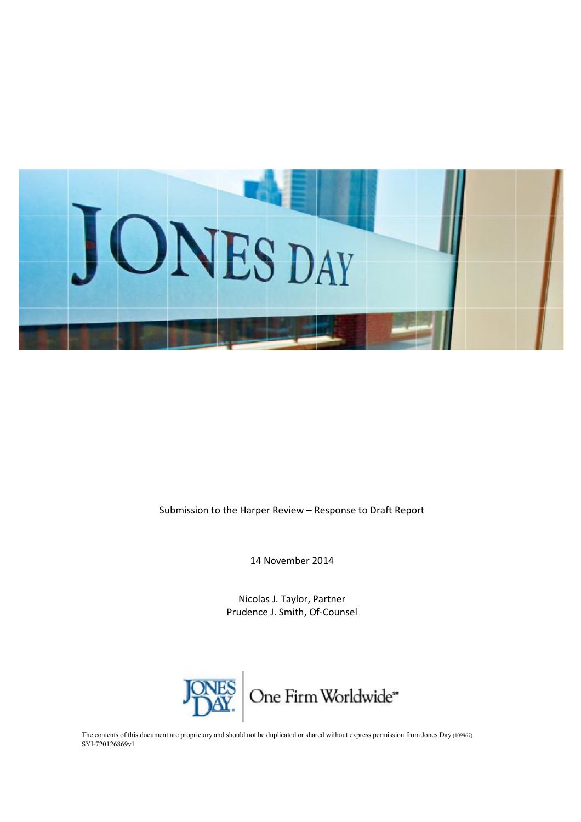

Submission to the Harper Review – Response to Draft Report

14 November 2014

Nicolas J. Taylor, Partner Prudence J. Smith, Of-Counsel



The contents of this document are proprietary and should not be duplicated or shared without express permission from Jones Day (109967). SYI-720126869v1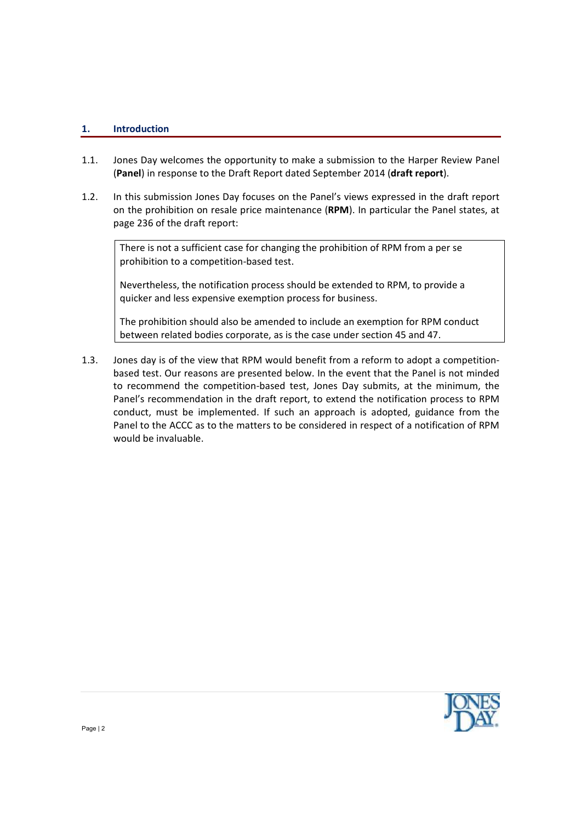## **1. Introduction**

- 1.1. Jones Day welcomes the opportunity to make a submission to the Harper Review Panel (**Panel**) in response to the Draft Report dated September 2014 (**draft report**).
- 1.2. In this submission Jones Day focuses on the Panel's views expressed in the draft report on the prohibition on resale price maintenance (**RPM**). In particular the Panel states, at page 236 of the draft report:

There is not a sufficient case for changing the prohibition of RPM from a per se prohibition to a competition-based test.

Nevertheless, the notification process should be extended to RPM, to provide a quicker and less expensive exemption process for business.

The prohibition should also be amended to include an exemption for RPM conduct between related bodies corporate, as is the case under section 45 and 47.

1.3. Jones day is of the view that RPM would benefit from a reform to adopt a competitionbased test. Our reasons are presented below. In the event that the Panel is not minded to recommend the competition-based test, Jones Day submits, at the minimum, the Panel's recommendation in the draft report, to extend the notification process to RPM conduct, must be implemented. If such an approach is adopted, guidance from the Panel to the ACCC as to the matters to be considered in respect of a notification of RPM would be invaluable.

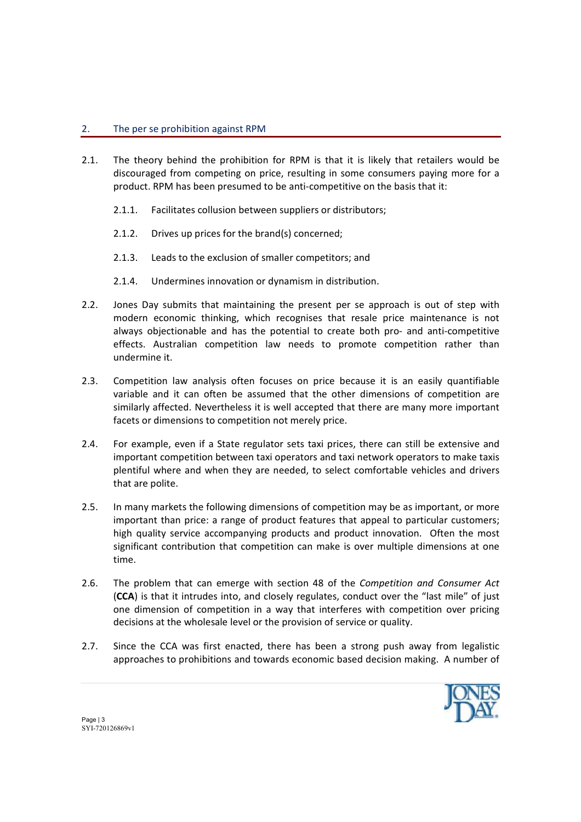## 2. The per se prohibition against RPM

- 2.1. The theory behind the prohibition for RPM is that it is likely that retailers would be discouraged from competing on price, resulting in some consumers paying more for a product. RPM has been presumed to be anti-competitive on the basis that it:
	- 2.1.1. Facilitates collusion between suppliers or distributors;
	- 2.1.2. Drives up prices for the brand(s) concerned;
	- 2.1.3. Leads to the exclusion of smaller competitors; and
	- 2.1.4. Undermines innovation or dynamism in distribution.
- 2.2. Jones Day submits that maintaining the present per se approach is out of step with modern economic thinking, which recognises that resale price maintenance is not always objectionable and has the potential to create both pro- and anti-competitive effects. Australian competition law needs to promote competition rather than undermine it.
- 2.3. Competition law analysis often focuses on price because it is an easily quantifiable variable and it can often be assumed that the other dimensions of competition are similarly affected. Nevertheless it is well accepted that there are many more important facets or dimensions to competition not merely price.
- 2.4. For example, even if a State regulator sets taxi prices, there can still be extensive and important competition between taxi operators and taxi network operators to make taxis plentiful where and when they are needed, to select comfortable vehicles and drivers that are polite.
- 2.5. In many markets the following dimensions of competition may be as important, or more important than price: a range of product features that appeal to particular customers; high quality service accompanying products and product innovation. Often the most significant contribution that competition can make is over multiple dimensions at one time.
- 2.6. The problem that can emerge with section 48 of the *Competition and Consumer Act* (**CCA**) is that it intrudes into, and closely regulates, conduct over the "last mile" of just one dimension of competition in a way that interferes with competition over pricing decisions at the wholesale level or the provision of service or quality.
- 2.7. Since the CCA was first enacted, there has been a strong push away from legalistic approaches to prohibitions and towards economic based decision making. A number of

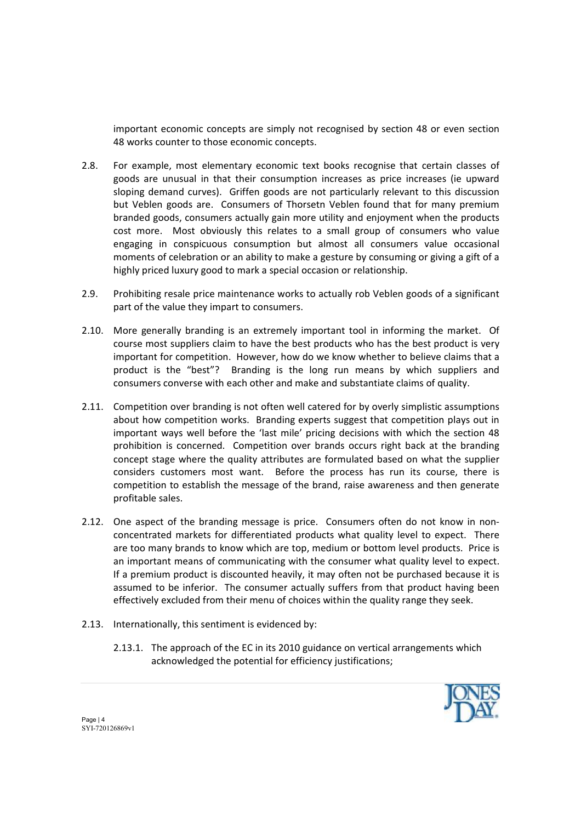important economic concepts are simply not recognised by section 48 or even section 48 works counter to those economic concepts.

- 2.8. For example, most elementary economic text books recognise that certain classes of goods are unusual in that their consumption increases as price increases (ie upward sloping demand curves). Griffen goods are not particularly relevant to this discussion but Veblen goods are. Consumers of Thorsetn Veblen found that for many premium branded goods, consumers actually gain more utility and enjoyment when the products cost more. Most obviously this relates to a small group of consumers who value engaging in conspicuous consumption but almost all consumers value occasional moments of celebration or an ability to make a gesture by consuming or giving a gift of a highly priced luxury good to mark a special occasion or relationship.
- 2.9. Prohibiting resale price maintenance works to actually rob Veblen goods of a significant part of the value they impart to consumers.
- 2.10. More generally branding is an extremely important tool in informing the market. Of course most suppliers claim to have the best products who has the best product is very important for competition. However, how do we know whether to believe claims that a product is the "best"? Branding is the long run means by which suppliers and consumers converse with each other and make and substantiate claims of quality.
- 2.11. Competition over branding is not often well catered for by overly simplistic assumptions about how competition works. Branding experts suggest that competition plays out in important ways well before the 'last mile' pricing decisions with which the section 48 prohibition is concerned. Competition over brands occurs right back at the branding concept stage where the quality attributes are formulated based on what the supplier considers customers most want. Before the process has run its course, there is competition to establish the message of the brand, raise awareness and then generate profitable sales.
- 2.12. One aspect of the branding message is price. Consumers often do not know in nonconcentrated markets for differentiated products what quality level to expect. There are too many brands to know which are top, medium or bottom level products. Price is an important means of communicating with the consumer what quality level to expect. If a premium product is discounted heavily, it may often not be purchased because it is assumed to be inferior. The consumer actually suffers from that product having been effectively excluded from their menu of choices within the quality range they seek.
- 2.13. Internationally, this sentiment is evidenced by:
	- 2.13.1. The approach of the EC in its 2010 guidance on vertical arrangements which acknowledged the potential for efficiency justifications;

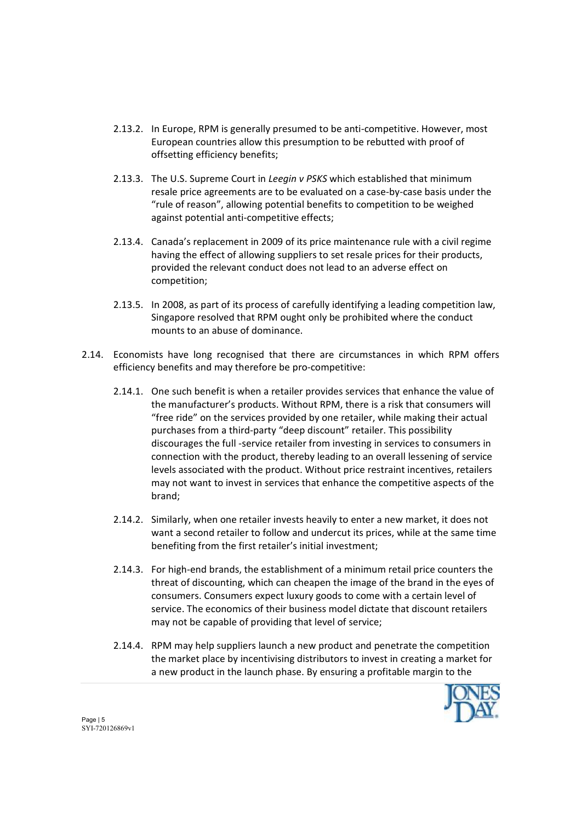- 2.13.2. In Europe, RPM is generally presumed to be anti-competitive. However, most European countries allow this presumption to be rebutted with proof of offsetting efficiency benefits;
- 2.13.3. The U.S. Supreme Court in *Leegin v PSKS* which established that minimum resale price agreements are to be evaluated on a case-by-case basis under the "rule of reason", allowing potential benefits to competition to be weighed against potential anti-competitive effects;
- 2.13.4. Canada's replacement in 2009 of its price maintenance rule with a civil regime having the effect of allowing suppliers to set resale prices for their products, provided the relevant conduct does not lead to an adverse effect on competition;
- 2.13.5. In 2008, as part of its process of carefully identifying a leading competition law, Singapore resolved that RPM ought only be prohibited where the conduct mounts to an abuse of dominance.
- 2.14. Economists have long recognised that there are circumstances in which RPM offers efficiency benefits and may therefore be pro-competitive:
	- 2.14.1. One such benefit is when a retailer provides services that enhance the value of the manufacturer's products. Without RPM, there is a risk that consumers will "free ride" on the services provided by one retailer, while making their actual purchases from a third-party "deep discount" retailer. This possibility discourages the full -service retailer from investing in services to consumers in connection with the product, thereby leading to an overall lessening of service levels associated with the product. Without price restraint incentives, retailers may not want to invest in services that enhance the competitive aspects of the brand;
	- 2.14.2. Similarly, when one retailer invests heavily to enter a new market, it does not want a second retailer to follow and undercut its prices, while at the same time benefiting from the first retailer's initial investment;
	- 2.14.3. For high-end brands, the establishment of a minimum retail price counters the threat of discounting, which can cheapen the image of the brand in the eyes of consumers. Consumers expect luxury goods to come with a certain level of service. The economics of their business model dictate that discount retailers may not be capable of providing that level of service;
	- 2.14.4. RPM may help suppliers launch a new product and penetrate the competition the market place by incentivising distributors to invest in creating a market for a new product in the launch phase. By ensuring a profitable margin to the

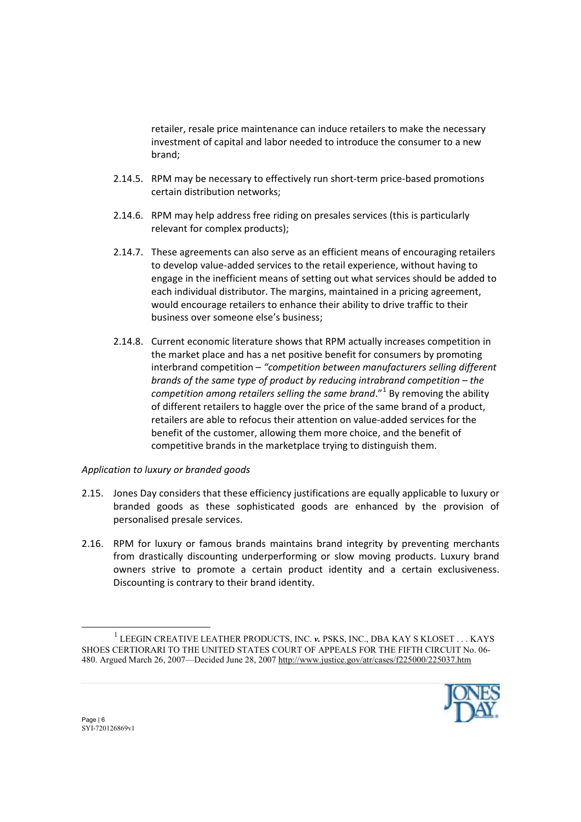retailer, resale price maintenance can induce retailers to make the necessary investment of capital and labor needed to introduce the consumer to a new brand;

- 2.14.5. RPM may be necessary to effectively run short-term price-based promotions certain distribution networks;
- 2.14.6. RPM may help address free riding on presales services (this is particularly relevant for complex products);
- 2.14.7. These agreements can also serve as an efficient means of encouraging retailers to develop value-added services to the retail experience, without having to engage in the inefficient means of setting out what services should be added to each individual distributor. The margins, maintained in a pricing agreement, would encourage retailers to enhance their ability to drive traffic to their business over someone else's business;
- 2.14.8. Current economic literature shows that RPM actually increases competition in the market place and has a net positive benefit for consumers by promoting interbrand competition – *"competition between manufacturers selling different brands of the same type of product by reducing intrabrand competition – the competition among retailers selling the same brand*."<sup>1</sup> By removing the ability of different retailers to haggle over the price of the same brand of a product, retailers are able to refocus their attention on value-added services for the benefit of the customer, allowing them more choice, and the benefit of competitive brands in the marketplace trying to distinguish them.

## *Application to luxury or branded goods*

- 2.15. Jones Day considers that these efficiency justifications are equally applicable to luxury or branded goods as these sophisticated goods are enhanced by the provision of personalised presale services.
- 2.16. RPM for luxury or famous brands maintains brand integrity by preventing merchants from drastically discounting underperforming or slow moving products. Luxury brand owners strive to promote a certain product identity and a certain exclusiveness. Discounting is contrary to their brand identity.

<sup>1</sup> LEEGIN CREATIVE LEATHER PRODUCTS, INC. *v.* PSKS, INC., DBA KAY S KLOSET . . . KAYS SHOES CERTIORARI TO THE UNITED STATES COURT OF APPEALS FOR THE FIFTH CIRCUIT No. 06- 480. Argued March 26, 2007—Decided June 28, 2007<http://www.justice.gov/atr/cases/f225000/225037.htm>



l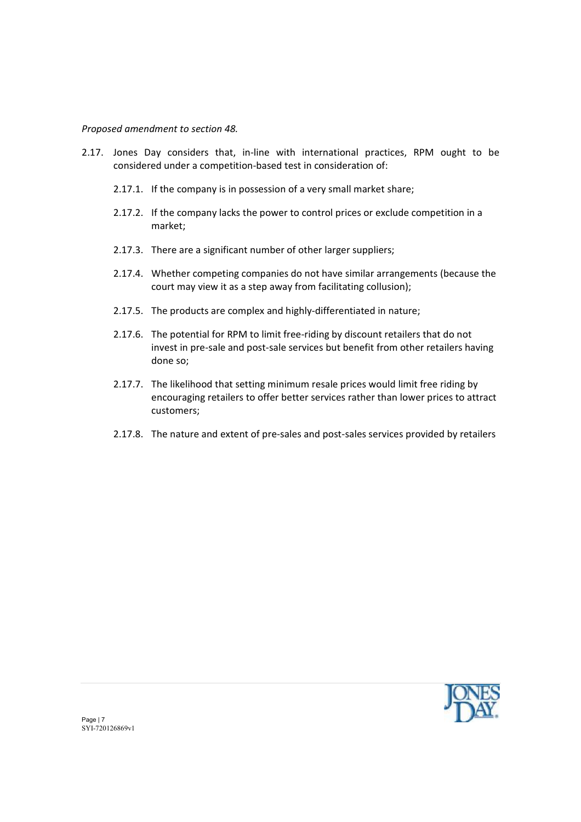*Proposed amendment to section 48.* 

- 2.17. Jones Day considers that, in-line with international practices, RPM ought to be considered under a competition-based test in consideration of:
	- 2.17.1. If the company is in possession of a very small market share;
	- 2.17.2. If the company lacks the power to control prices or exclude competition in a market;
	- 2.17.3. There are a significant number of other larger suppliers;
	- 2.17.4. Whether competing companies do not have similar arrangements (because the court may view it as a step away from facilitating collusion);
	- 2.17.5. The products are complex and highly-differentiated in nature;
	- 2.17.6. The potential for RPM to limit free-riding by discount retailers that do not invest in pre-sale and post-sale services but benefit from other retailers having done so;
	- 2.17.7. The likelihood that setting minimum resale prices would limit free riding by encouraging retailers to offer better services rather than lower prices to attract customers;
	- 2.17.8. The nature and extent of pre-sales and post-sales services provided by retailers